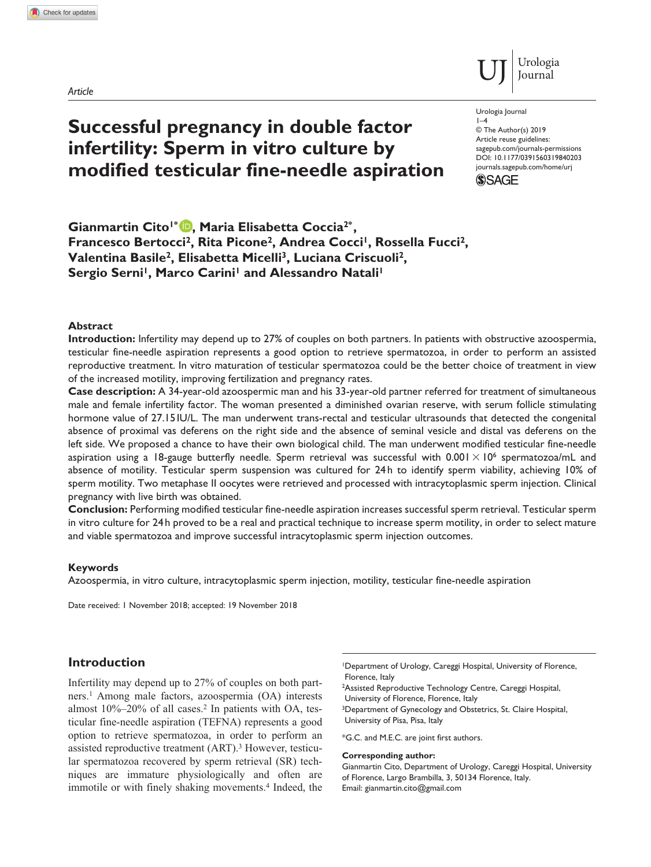*Article*

# **Successful pregnancy in double factor infertility: Sperm in vitro culture by modified testicular fine-needle aspiration**

Urologia Journal

DOI: 10.1177/0391560319840203 © The Author(s) 2019 Article reuse guidelines: [sagepub.com/journals-permissions](https://uk.sagepub.com/en-gb/journals-permissions) [journals.sagepub.com/home/urj](https://journals.sagepub.com/home/urj)

Urologia Journal



 $1-4$ 

**Gianmartin Cito1\* , Maria Elisabetta Coccia2\* ,**  Francesco Bertocci<sup>2</sup>, Rita Picone<sup>2</sup>, Andrea Cocci<sup>1</sup>, Rossella Fucci<sup>2</sup>, **Valentina Basile2, Elisabetta Micelli3, Luciana Criscuoli2,**  Sergio Serni<sup>1</sup>, Marco Carini<sup>1</sup> and Alessandro Natali<sup>1</sup>

# **Abstract**

**Introduction:** Infertility may depend up to 27% of couples on both partners. In patients with obstructive azoospermia, testicular fine-needle aspiration represents a good option to retrieve spermatozoa, in order to perform an assisted reproductive treatment. In vitro maturation of testicular spermatozoa could be the better choice of treatment in view of the increased motility, improving fertilization and pregnancy rates.

**Case description:** A 34-year-old azoospermic man and his 33-year-old partner referred for treatment of simultaneous male and female infertility factor. The woman presented a diminished ovarian reserve, with serum follicle stimulating hormone value of 27.15 IU/L. The man underwent trans-rectal and testicular ultrasounds that detected the congenital absence of proximal vas deferens on the right side and the absence of seminal vesicle and distal vas deferens on the left side. We proposed a chance to have their own biological child. The man underwent modified testicular fine-needle aspiration using a 18-gauge butterfly needle. Sperm retrieval was successful with  $0.001 \times 10^6$  spermatozoa/mL and absence of motility. Testicular sperm suspension was cultured for 24 h to identify sperm viability, achieving 10% of sperm motility. Two metaphase II oocytes were retrieved and processed with intracytoplasmic sperm injection. Clinical pregnancy with live birth was obtained.

**Conclusion:** Performing modified testicular fine-needle aspiration increases successful sperm retrieval. Testicular sperm in vitro culture for 24 h proved to be a real and practical technique to increase sperm motility, in order to select mature and viable spermatozoa and improve successful intracytoplasmic sperm injection outcomes.

#### **Keywords**

Azoospermia, in vitro culture, intracytoplasmic sperm injection, motility, testicular fine-needle aspiration

Date received: 1 November 2018; accepted: 19 November 2018

# **Introduction**

Infertility may depend up to 27% of couples on both partners.1 Among male factors, azoospermia (OA) interests almost  $10\% - 20\%$  of all cases.<sup>2</sup> In patients with OA, testicular fine-needle aspiration (TEFNA) represents a good option to retrieve spermatozoa, in order to perform an assisted reproductive treatment (ART).3 However, testicular spermatozoa recovered by sperm retrieval (SR) techniques are immature physiologically and often are immotile or with finely shaking movements.<sup>4</sup> Indeed, the 1Department of Urology, Careggi Hospital, University of Florence, Florence, Italy

2Assisted Reproductive Technology Centre, Careggi Hospital, University of Florence, Florence, Italy

<sup>3</sup>Department of Gynecology and Obstetrics, St. Claire Hospital, University of Pisa, Pisa, Italy

\*G.C. and M.E.C. are joint first authors.

#### **Corresponding author:**

Gianmartin Cito, Department of Urology, Careggi Hospital, University of Florence, Largo Brambilla, 3, 50134 Florence, Italy. Email: [gianmartin.cito@gmail.com](mailto:gianmartin.cito@gmail.com)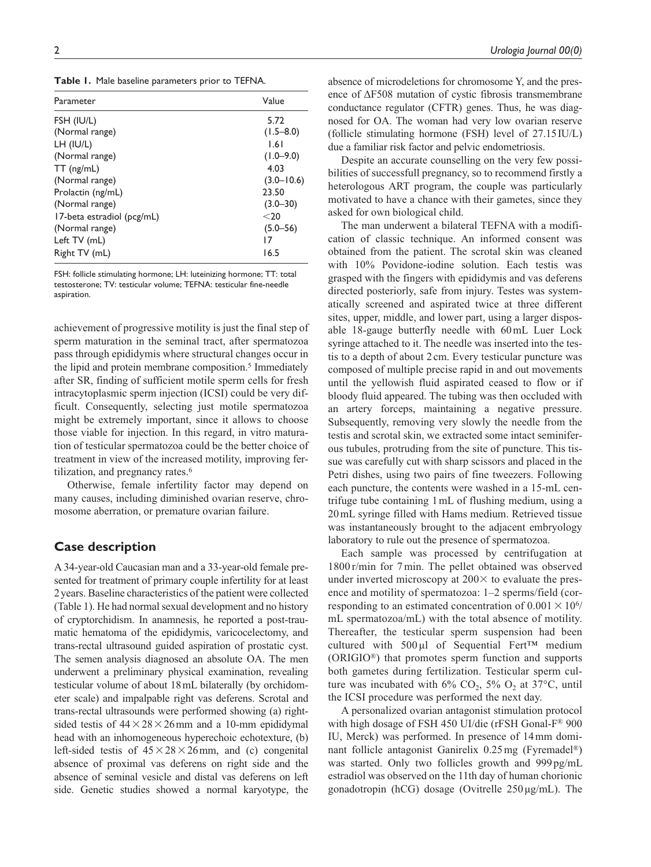**Table 1.** Male baseline parameters prior to TEFNA.

| Parameter                  | Value          |
|----------------------------|----------------|
| FSH (IU/L)                 | 5.72           |
| (Normal range)             | $(1.5 - 8.0)$  |
| LH (IU/L)                  | 1.61           |
| (Normal range)             | $(1.0 - 9.0)$  |
| $TT$ (ng/mL)               | 4.03           |
| (Normal range)             | $(3.0 - 10.6)$ |
| Prolactin (ng/mL)          | 23.50          |
| (Normal range)             | $(3.0 - 30)$   |
| 17-beta estradiol (pcg/mL) | $<$ 20         |
| (Normal range)             | $(5.0 - 56)$   |
| Left TV (mL)               | 17             |
| Right TV (mL)              | 16.5           |

FSH: follicle stimulating hormone; LH: luteinizing hormone; TT: total testosterone; TV: testicular volume; TEFNA: testicular fine-needle aspiration.

achievement of progressive motility is just the final step of sperm maturation in the seminal tract, after spermatozoa pass through epididymis where structural changes occur in the lipid and protein membrane composition.<sup>5</sup> Immediately after SR, finding of sufficient motile sperm cells for fresh intracytoplasmic sperm injection (ICSI) could be very difficult. Consequently, selecting just motile spermatozoa might be extremely important, since it allows to choose those viable for injection. In this regard, in vitro maturation of testicular spermatozoa could be the better choice of treatment in view of the increased motility, improving fertilization, and pregnancy rates.<sup>6</sup>

Otherwise, female infertility factor may depend on many causes, including diminished ovarian reserve, chromosome aberration, or premature ovarian failure.

# **Case description**

A 34-year-old Caucasian man and a 33-year-old female presented for treatment of primary couple infertility for at least 2years. Baseline characteristics of the patient were collected (Table 1). He had normal sexual development and no history of cryptorchidism. In anamnesis, he reported a post-traumatic hematoma of the epididymis, varicocelectomy, and trans-rectal ultrasound guided aspiration of prostatic cyst. The semen analysis diagnosed an absolute OA. The men underwent a preliminary physical examination, revealing testicular volume of about 18mL bilaterally (by orchidometer scale) and impalpable right vas deferens. Scrotal and trans-rectal ultrasounds were performed showing (a) rightsided testis of  $44 \times 28 \times 26$  mm and a 10-mm epididymal head with an inhomogeneous hyperechoic echotexture, (b) left-sided testis of  $45 \times 28 \times 26$  mm, and (c) congenital absence of proximal vas deferens on right side and the absence of seminal vesicle and distal vas deferens on left side. Genetic studies showed a normal karyotype, the absence of microdeletions for chromosome Y, and the presence of ∆F508 mutation of cystic fibrosis transmembrane conductance regulator (CFTR) genes. Thus, he was diagnosed for OA. The woman had very low ovarian reserve (follicle stimulating hormone (FSH) level of 27.15IU/L) due a familiar risk factor and pelvic endometriosis.

Despite an accurate counselling on the very few possibilities of successfull pregnancy, so to recommend firstly a heterologous ART program, the couple was particularly motivated to have a chance with their gametes, since they asked for own biological child.

The man underwent a bilateral TEFNA with a modification of classic technique. An informed consent was obtained from the patient. The scrotal skin was cleaned with 10% Povidone-iodine solution. Each testis was grasped with the fingers with epididymis and vas deferens directed posteriorly, safe from injury. Testes was systematically screened and aspirated twice at three different sites, upper, middle, and lower part, using a larger disposable 18-gauge butterfly needle with 60mL Luer Lock syringe attached to it. The needle was inserted into the testis to a depth of about 2cm. Every testicular puncture was composed of multiple precise rapid in and out movements until the yellowish fluid aspirated ceased to flow or if bloody fluid appeared. The tubing was then occluded with an artery forceps, maintaining a negative pressure. Subsequently, removing very slowly the needle from the testis and scrotal skin, we extracted some intact seminiferous tubules, protruding from the site of puncture. This tissue was carefully cut with sharp scissors and placed in the Petri dishes, using two pairs of fine tweezers. Following each puncture, the contents were washed in a 15-mL centrifuge tube containing 1mL of flushing medium, using a 20mL syringe filled with Hams medium. Retrieved tissue was instantaneously brought to the adjacent embryology laboratory to rule out the presence of spermatozoa.

Each sample was processed by centrifugation at 1800 r/min for 7min. The pellet obtained was observed under inverted microscopy at  $200 \times$  to evaluate the presence and motility of spermatozoa: 1–2 sperms/field (corresponding to an estimated concentration of  $0.001 \times 10^{6}$ / mL spermatozoa/mL) with the total absence of motility. Thereafter, the testicular sperm suspension had been cultured with 500µl of Sequential Fert™ medium (ORIGIO®) that promotes sperm function and supports both gametes during fertilization. Testicular sperm culture was incubated with  $6\%$  CO<sub>2</sub>,  $5\%$  O<sub>2</sub> at  $37^{\circ}$ C, until the ICSI procedure was performed the next day.

A personalized ovarian antagonist stimulation protocol with high dosage of FSH 450 UI/die (rFSH Gonal-F® 900 IU, Merck) was performed. In presence of 14mm dominant follicle antagonist Ganirelix 0.25mg (Fyremadel®) was started. Only two follicles growth and 999pg/mL estradiol was observed on the 11th day of human chorionic gonadotropin (hCG) dosage (Ovitrelle  $250 \mu g/mL$ ). The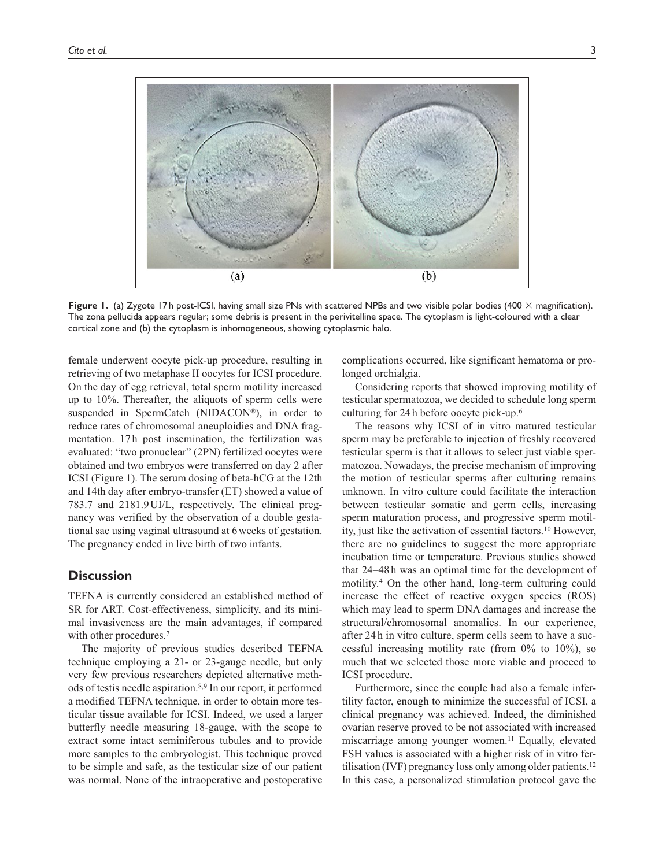

**Figure 1.** (a) Zygote 17h post-ICSI, having small size PNs with scattered NPBs and two visible polar bodies (400 × magnification). The zona pellucida appears regular; some debris is present in the perivitelline space. The cytoplasm is light-coloured with a clear cortical zone and (b) the cytoplasm is inhomogeneous, showing cytoplasmic halo.

female underwent oocyte pick-up procedure, resulting in retrieving of two metaphase II oocytes for ICSI procedure. On the day of egg retrieval, total sperm motility increased up to 10%. Thereafter, the aliquots of sperm cells were suspended in SpermCatch (NIDACON®), in order to reduce rates of chromosomal aneuploidies and DNA fragmentation. 17h post insemination, the fertilization was evaluated: "two pronuclear" (2PN) fertilized oocytes were obtained and two embryos were transferred on day 2 after ICSI (Figure 1). The serum dosing of beta-hCG at the 12th and 14th day after embryo-transfer (ET) showed a value of 783.7 and 2181.9UI/L, respectively. The clinical pregnancy was verified by the observation of a double gestational sac using vaginal ultrasound at 6weeks of gestation. The pregnancy ended in live birth of two infants.

### **Discussion**

TEFNA is currently considered an established method of SR for ART. Cost-effectiveness, simplicity, and its minimal invasiveness are the main advantages, if compared with other procedures.<sup>7</sup>

The majority of previous studies described TEFNA technique employing a 21- or 23-gauge needle, but only very few previous researchers depicted alternative methods of testis needle aspiration.8,9 In our report, it performed a modified TEFNA technique, in order to obtain more testicular tissue available for ICSI. Indeed, we used a larger butterfly needle measuring 18-gauge, with the scope to extract some intact seminiferous tubules and to provide more samples to the embryologist. This technique proved to be simple and safe, as the testicular size of our patient was normal. None of the intraoperative and postoperative

complications occurred, like significant hematoma or prolonged orchialgia.

Considering reports that showed improving motility of testicular spermatozoa, we decided to schedule long sperm culturing for 24 h before oocyte pick-up.6

The reasons why ICSI of in vitro matured testicular sperm may be preferable to injection of freshly recovered testicular sperm is that it allows to select just viable spermatozoa. Nowadays, the precise mechanism of improving the motion of testicular sperms after culturing remains unknown. In vitro culture could facilitate the interaction between testicular somatic and germ cells, increasing sperm maturation process, and progressive sperm motility, just like the activation of essential factors.10 However, there are no guidelines to suggest the more appropriate incubation time or temperature. Previous studies showed that 24–48 h was an optimal time for the development of motility.4 On the other hand, long-term culturing could increase the effect of reactive oxygen species (ROS) which may lead to sperm DNA damages and increase the structural/chromosomal anomalies. In our experience, after 24 h in vitro culture, sperm cells seem to have a successful increasing motility rate (from 0% to 10%), so much that we selected those more viable and proceed to ICSI procedure.

Furthermore, since the couple had also a female infertility factor, enough to minimize the successful of ICSI, a clinical pregnancy was achieved. Indeed, the diminished ovarian reserve proved to be not associated with increased miscarriage among younger women.<sup>11</sup> Equally, elevated FSH values is associated with a higher risk of in vitro fertilisation (IVF) pregnancy loss only among older patients.<sup>12</sup> In this case, a personalized stimulation protocol gave the